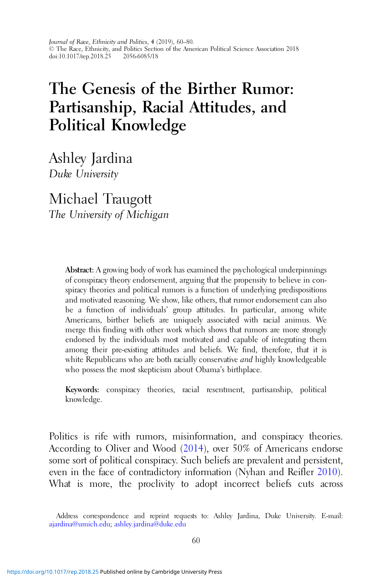# The Genesis of the Birther Rumor: Partisanship, Racial Attitudes, and Political Knowledge

Ashley Jardina Duke University

Michael Traugott The University of Michigan

> Abstract: A growing body of work has examined the psychological underpinnings of conspiracy theory endorsement, arguing that the propensity to believe in conspiracy theories and political rumors is a function of underlying predispositions and motivated reasoning. We show, like others, that rumor endorsement can also be a function of individuals' group attitudes. In particular, among white Americans, birther beliefs are uniquely associated with racial animus. We merge this finding with other work which shows that rumors are more strongly endorsed by the individuals most motivated and capable of integrating them among their pre-existing attitudes and beliefs. We find, therefore, that it is white Republicans who are both racially conservative *and* highly knowledgeable who possess the most skepticism about Obama's birthplace.

> Keywords: conspiracy theories, racial resentment, partisanship, political knowledge.

Politics is rife with rumors, misinformation, and conspiracy theories. According to Oliver and Wood [\(2014\)](#page-16-0), over 50% of Americans endorse some sort of political conspiracy. Such beliefs are prevalent and persistent, even in the face of contradictory information (Nyhan and Reifler [2010\)](#page-16-0). What is more, the proclivity to adopt incorrect beliefs cuts across

Address correspondence and reprint requests to: Ashley Jardina, Duke University. E-mail: [ajardina@umich.edu](mailto:�ajardina@�umich.edu); [ashley.jardina@duke.edu](mailto:ashley.jardina@duke.edu)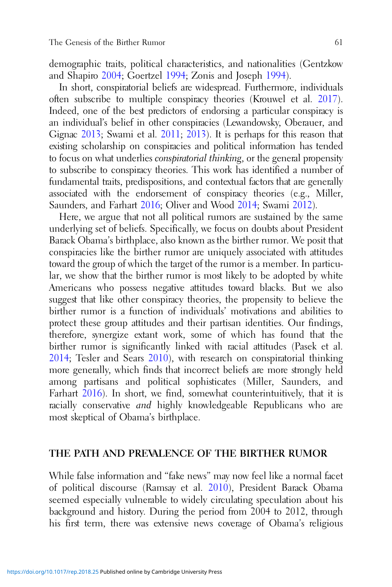demographic traits, political characteristics, and nationalities (Gentzkow and Shapiro [2004;](#page-15-0) Goertzel [1994;](#page-15-0) Zonis and Joseph [1994\)](#page-17-0).

In short, conspiratorial beliefs are widespread. Furthermore, individuals often subscribe to multiple conspiracy theories (Krouwel et al. [2017\)](#page-15-0). Indeed, one of the best predictors of endorsing a particular conspiracy is an individual's belief in other conspiracies (Lewandowsky, Oberauer, and Gignac [2013](#page-15-0); Swami et al. [2011;](#page-16-0) [2013](#page-16-0)). It is perhaps for this reason that existing scholarship on conspiracies and political information has tended to focus on what underlies conspiratorial thinking, or the general propensity to subscribe to conspiracy theories. This work has identified a number of fundamental traits, predispositions, and contextual factors that are generally associated with the endorsement of conspiracy theories (e.g., Miller, Saunders, and Farhart [2016](#page-16-0); Oliver and Wood [2014](#page-16-0); Swami [2012\)](#page-16-0).

Here, we argue that not all political rumors are sustained by the same underlying set of beliefs. Specifically, we focus on doubts about President Barack Obama's birthplace, also known as the birther rumor. We posit that conspiracies like the birther rumor are uniquely associated with attitudes toward the group of which the target of the rumor is a member. In particular, we show that the birther rumor is most likely to be adopted by white Americans who possess negative attitudes toward blacks. But we also suggest that like other conspiracy theories, the propensity to believe the birther rumor is a function of individuals' motivations and abilities to protect these group attitudes and their partisan identities. Our findings, therefore, synergize extant work, some of which has found that the birther rumor is significantly linked with racial attitudes (Pasek et al. [2014](#page-16-0); Tesler and Sears [2010](#page-16-0)), with research on conspiratorial thinking more generally, which finds that incorrect beliefs are more strongly held among partisans and political sophisticates (Miller, Saunders, and Farhart [2016](#page-16-0)). In short, we find, somewhat counterintuitively, that it is racially conservative and highly knowledgeable Republicans who are most skeptical of Obama's birthplace.

### THE PATH AND PREVALENCE OF THE BIRTHER RUMOR

While false information and "fake news" may now feel like a normal facet of political discourse (Ramsay et al. [2010](#page-16-0)), President Barack Obama seemed especially vulnerable to widely circulating speculation about his background and history. During the period from 2004 to 2012, through his first term, there was extensive news coverage of Obama's religious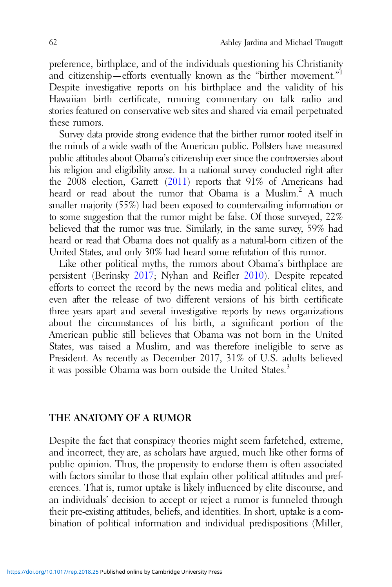preference, birthplace, and of the individuals questioning his Christianity and citizenship—efforts eventually known as the "birther movement."<sup>1</sup> Despite investigative reports on his birthplace and the validity of his Hawaiian birth certificate, running commentary on talk radio and stories featured on conservative web sites and shared via email perpetuated these rumors.

Survey data provide strong evidence that the birther rumor rooted itself in the minds of a wide swath of the American public. Pollsters have measured public attitudes about Obama's citizenship ever since the controversies about his religion and eligibility arose. In a national survey conducted right after the 2008 election, Garrett ([2011](#page-15-0)) reports that 91% of Americans had heard or read about the rumor that Obama is a Muslim.<sup>2</sup> A much smaller majority (55%) had been exposed to countervailing information or to some suggestion that the rumor might be false. Of those surveyed, 22% believed that the rumor was true. Similarly, in the same survey, 59% had heard or read that Obama does not qualify as a natural-born citizen of the United States, and only 30% had heard some refutation of this rumor.

Like other political myths, the rumors about Obama's birthplace are persistent (Berinsky [2017;](#page-14-0) Nyhan and Reifler [2010\)](#page-16-0). Despite repeated efforts to correct the record by the news media and political elites, and even after the release of two different versions of his birth certificate three years apart and several investigative reports by news organizations about the circumstances of his birth, a significant portion of the American public still believes that Obama was not born in the United States, was raised a Muslim, and was therefore ineligible to serve as President. As recently as December 2017, 31% of U.S. adults believed it was possible Obama was born outside the United States.<sup>3</sup>

# THE ANATOMY OF A RUMOR

Despite the fact that conspiracy theories might seem farfetched, extreme, and incorrect, they are, as scholars have argued, much like other forms of public opinion. Thus, the propensity to endorse them is often associated with factors similar to those that explain other political attitudes and preferences. That is, rumor uptake is likely influenced by elite discourse, and an individuals' decision to accept or reject a rumor is funneled through their pre-existing attitudes, beliefs, and identities. In short, uptake is a combination of political information and individual predispositions (Miller,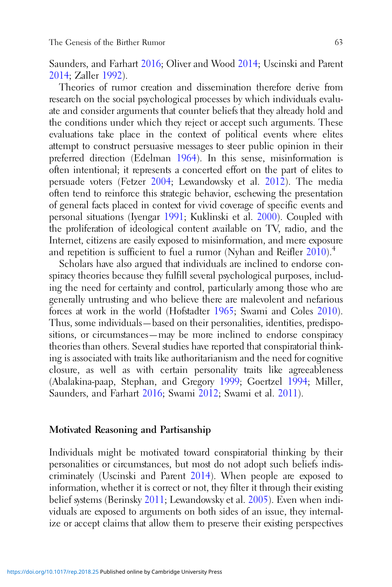Saunders, and Farhart [2016](#page-16-0); Oliver and Wood [2014](#page-16-0); Uscinski and Parent [2014](#page-17-0); Zaller [1992\)](#page-17-0).

Theories of rumor creation and dissemination therefore derive from research on the social psychological processes by which individuals evaluate and consider arguments that counter beliefs that they already hold and the conditions under which they reject or accept such arguments. These evaluations take place in the context of political events where elites attempt to construct persuasive messages to steer public opinion in their preferred direction (Edelman [1964](#page-14-0)). In this sense, misinformation is often intentional; it represents a concerted effort on the part of elites to persuade voters (Fetzer [2004](#page-14-0); Lewandowsky et al. [2012](#page-15-0)). The media often tend to reinforce this strategic behavior, eschewing the presentation of general facts placed in context for vivid coverage of specific events and personal situations (Iyengar [1991;](#page-15-0) Kuklinski et al. [2000](#page-15-0)). Coupled with the proliferation of ideological content available on TV, radio, and the Internet, citizens are easily exposed to misinformation, and mere exposure and repetition is sufficient to fuel a rumor (Nyhan and Reifler  $2010$ ).<sup>4</sup>

Scholars have also argued that individuals are inclined to endorse conspiracy theories because they fulfill several psychological purposes, including the need for certainty and control, particularly among those who are generally untrusting and who believe there are malevolent and nefarious forces at work in the world (Hofstadter [1965;](#page-15-0) Swami and Coles [2010\)](#page-16-0). Thus, some individuals—based on their personalities, identities, predispositions, or circumstances—may be more inclined to endorse conspiracy theories than others. Several studies have reported that conspiratorial thinking is associated with traits like authoritarianism and the need for cognitive closure, as well as with certain personality traits like agreeableness (Abalakina-paap, Stephan, and Gregory [1999](#page-14-0); Goertzel [1994;](#page-15-0) Miller, Saunders, and Farhart [2016;](#page-16-0) Swami [2012;](#page-16-0) Swami et al. [2011](#page-16-0)).

### Motivated Reasoning and Partisanship

Individuals might be motivated toward conspiratorial thinking by their personalities or circumstances, but most do not adopt such beliefs indiscriminately (Uscinski and Parent [2014\)](#page-17-0). When people are exposed to information, whether it is correct or not, they filter it through their existing belief systems (Berinsky [2011](#page-14-0); Lewandowsky et al. [2005\)](#page-15-0). Even when individuals are exposed to arguments on both sides of an issue, they internalize or accept claims that allow them to preserve their existing perspectives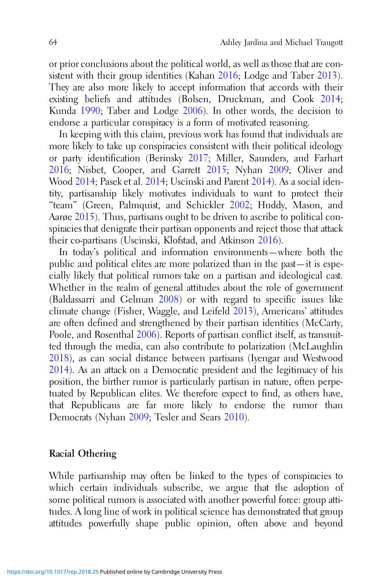or prior conclusions about the political world, as well as those that are consistent with their group identities (Kahan [2016](#page-15-0); Lodge and Taber [2013\)](#page-16-0). They are also more likely to accept information that accords with their existing beliefs and attitudes (Bolsen, Druckman, and Cook [2014](#page-14-0); Kunda [1990;](#page-15-0) Taber and Lodge [2006](#page-16-0)). In other words, the decision to endorse a particular conspiracy is a form of motivated reasoning.

In keeping with this claim, previous work has found that individuals are more likely to take up conspiracies consistent with their political ideology or party identification (Berinsky [2017](#page-14-0); Miller, Saunders, and Farhart [2016](#page-16-0); Nisbet, Cooper, and Garrett [2015;](#page-16-0) Nyhan [2009](#page-16-0); Oliver and Wood [2014;](#page-16-0) Pasek et al. [2014](#page-16-0); Uscinski and Parent [2014\)](#page-17-0). As a social identity, partisanship likely motivates individuals to want to protect their "team" (Green, Palmquist, and Schickler [2002](#page-15-0); Huddy, Mason, and Aarøe [2015](#page-15-0)). Thus, partisans ought to be driven to ascribe to political conspiracies that denigrate their partisan opponents and reject those that attack their co-partisans (Uscinski, Klofstad, and Atkinson [2016](#page-16-0)).

In today's political and information environments—where both the public and political elites are more polarized than in the past—it is especially likely that political rumors take on a partisan and ideological cast. Whether in the realm of general attitudes about the role of government (Baldassarri and Gelman [2008](#page-14-0)) or with regard to specific issues like climate change (Fisher, Waggle, and Leifeld [2013\)](#page-15-0), Americans' attitudes are often defined and strengthened by their partisan identities (McCarty, Poole, and Rosenthal [2006](#page-16-0)). Reports of partisan conflict itself, as transmitted through the media, can also contribute to polarization (McLaughlin [2018](#page-16-0)), as can social distance between partisans (Iyengar and Westwood [2014](#page-15-0)). As an attack on a Democratic president and the legitimacy of his position, the birther rumor is particularly partisan in nature, often perpetuated by Republican elites. We therefore expect to find, as others have, that Republicans are far more likely to endorse the rumor than Democrats (Nyhan [2009](#page-16-0); Tesler and Sears [2010\)](#page-16-0).

### Racial Othering

While partisanship may often be linked to the types of conspiracies to which certain individuals subscribe, we argue that the adoption of some political rumors is associated with another powerful force: group attitudes. A long line of work in political science has demonstrated that group attitudes powerfully shape public opinion, often above and beyond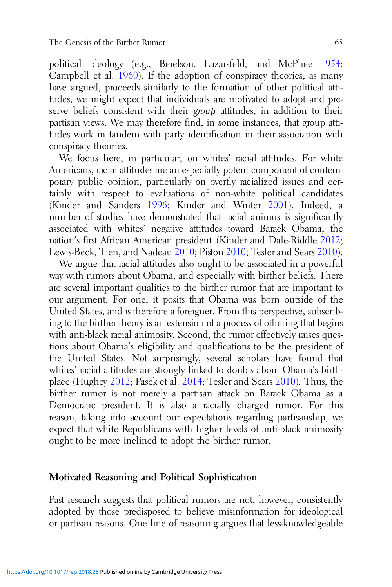political ideology (e.g., Berelson, Lazarsfeld, and McPhee [1954](#page-14-0); Campbell et al. [1960](#page-14-0)). If the adoption of conspiracy theories, as many have argued, proceeds similarly to the formation of other political attitudes, we might expect that individuals are motivated to adopt and preserve beliefs consistent with their group attitudes, in addition to their partisan views. We may therefore find, in some instances, that group attitudes work in tandem with party identification in their association with conspiracy theories.

We focus here, in particular, on whites' racial attitudes. For white Americans, racial attitudes are an especially potent component of contemporary public opinion, particularly on overtly racialized issues and certainly with respect to evaluations of non-white political candidates (Kinder and Sanders [1996](#page-15-0); Kinder and Winter [2001\)](#page-15-0). Indeed, a number of studies have demonstrated that racial animus is significantly associated with whites' negative attitudes toward Barack Obama, the nation's first African American president (Kinder and Dale-Riddle [2012](#page-15-0); Lewis-Beck, Tien, and Nadeau [2010](#page-15-0); Piston [2010](#page-16-0); Tesler and Sears [2010\)](#page-16-0).

We argue that racial attitudes also ought to be associated in a powerful way with rumors about Obama, and especially with birther beliefs. There are several important qualities to the birther rumor that are important to our argument. For one, it posits that Obama was born outside of the United States, and is therefore a foreigner. From this perspective, subscribing to the birther theory is an extension of a process of othering that begins with anti-black racial animosity. Second, the rumor effectively raises questions about Obama's eligibility and qualifications to be the president of the United States. Not surprisingly, several scholars have found that whites' racial attitudes are strongly linked to doubts about Obama's birthplace (Hughey [2012](#page-15-0); Pasek et al. [2014;](#page-16-0) Tesler and Sears [2010\)](#page-16-0). Thus, the birther rumor is not merely a partisan attack on Barack Obama as a Democratic president. It is also a racially charged rumor. For this reason, taking into account our expectations regarding partisanship, we expect that white Republicans with higher levels of anti-black animosity ought to be more inclined to adopt the birther rumor.

### Motivated Reasoning and Political Sophistication

Past research suggests that political rumors are not, however, consistently adopted by those predisposed to believe misinformation for ideological or partisan reasons. One line of reasoning argues that less-knowledgeable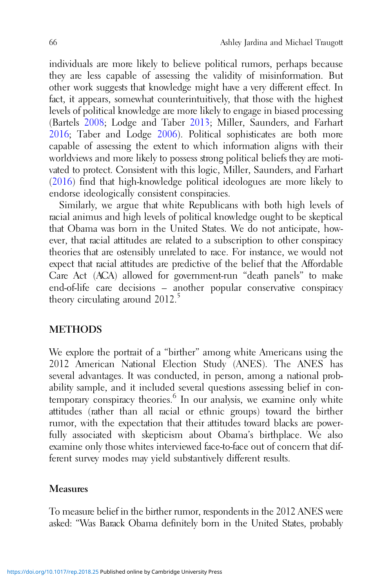individuals are more likely to believe political rumors, perhaps because they are less capable of assessing the validity of misinformation. But other work suggests that knowledge might have a very different effect. In fact, it appears, somewhat counterintuitively, that those with the highest levels of political knowledge are more likely to engage in biased processing (Bartels [2008;](#page-14-0) Lodge and Taber [2013](#page-16-0); Miller, Saunders, and Farhart [2016](#page-16-0); Taber and Lodge [2006](#page-16-0)). Political sophisticates are both more capable of assessing the extent to which information aligns with their worldviews and more likely to possess strong political beliefs they are motivated to protect. Consistent with this logic, Miller, Saunders, and Farhart ([2016\)](#page-16-0) find that high-knowledge political ideologues are more likely to endorse ideologically consistent conspiracies.

Similarly, we argue that white Republicans with both high levels of racial animus and high levels of political knowledge ought to be skeptical that Obama was born in the United States. We do not anticipate, however, that racial attitudes are related to a subscription to other conspiracy theories that are ostensibly unrelated to race. For instance, we would not expect that racial attitudes are predictive of the belief that the Affordable Care Act (ACA) allowed for government-run "death panels" to make end-of-life care decisions – another popular conservative conspiracy theory circulating around  $2012<sup>5</sup>$ 

# **METHODS**

We explore the portrait of a "birther" among white Americans using the 2012 American National Election Study (ANES). The ANES has several advantages. It was conducted, in person, among a national probability sample, and it included several questions assessing belief in contemporary conspiracy theories.<sup>6</sup> In our analysis, we examine only white attitudes (rather than all racial or ethnic groups) toward the birther rumor, with the expectation that their attitudes toward blacks are powerfully associated with skepticism about Obama's birthplace. We also examine only those whites interviewed face-to-face out of concern that different survey modes may yield substantively different results.

### Measures

To measure belief in the birther rumor, respondents in the 2012 ANES were asked: "Was Barack Obama definitely born in the United States, probably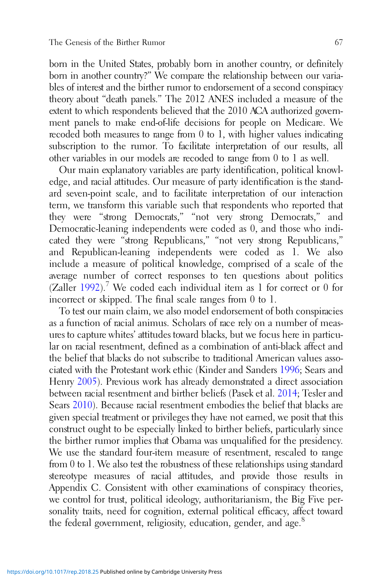born in the United States, probably born in another country, or definitely born in another country?" We compare the relationship between our variables of interest and the birther rumor to endorsement of a second conspiracy theory about "death panels." The 2012 ANES included a measure of the extent to which respondents believed that the 2010 ACA authorized government panels to make end-of-life decisions for people on Medicare. We recoded both measures to range from 0 to 1, with higher values indicating subscription to the rumor. To facilitate interpretation of our results, all other variables in our models are recoded to range from 0 to 1 as well.

Our main explanatory variables are party identification, political knowledge, and racial attitudes. Our measure of party identification is the standard seven-point scale, and to facilitate interpretation of our interaction term, we transform this variable such that respondents who reported that they were "strong Democrats," "not very strong Democrats," and Democratic-leaning independents were coded as 0, and those who indicated they were "strong Republicans," "not very strong Republicans," and Republican-leaning independents were coded as 1. We also include a measure of political knowledge, comprised of a scale of the average number of correct responses to ten questions about politics  $(Zaller 1992)$  $(Zaller 1992)$  $(Zaller 1992)$ .<sup>7</sup> We coded each individual item as 1 for correct or 0 for incorrect or skipped. The final scale ranges from 0 to 1.

To test our main claim, we also model endorsement of both conspiracies as a function of racial animus. Scholars of race rely on a number of measures to capture whites' attitudes toward blacks, but we focus here in particular on racial resentment, defined as a combination of anti-black affect and the belief that blacks do not subscribe to traditional American values associated with the Protestant work ethic (Kinder and Sanders [1996](#page-15-0); Sears and Henry [2005\)](#page-16-0). Previous work has already demonstrated a direct association between racial resentment and birther beliefs (Pasek et al. [2014](#page-16-0); Tesler and Sears [2010\)](#page-16-0). Because racial resentment embodies the belief that blacks are given special treatment or privileges they have not earned, we posit that this construct ought to be especially linked to birther beliefs, particularly since the birther rumor implies that Obama was unqualified for the presidency. We use the standard four-item measure of resentment, rescaled to range from 0 to 1. We also test the robustness of these relationships using standard stereotype measures of racial attitudes, and provide those results in Appendix C. Consistent with other examinations of conspiracy theories, we control for trust, political ideology, authoritarianism, the Big Five personality traits, need for cognition, external political efficacy, affect toward the federal government, religiosity, education, gender, and age.<sup>8</sup>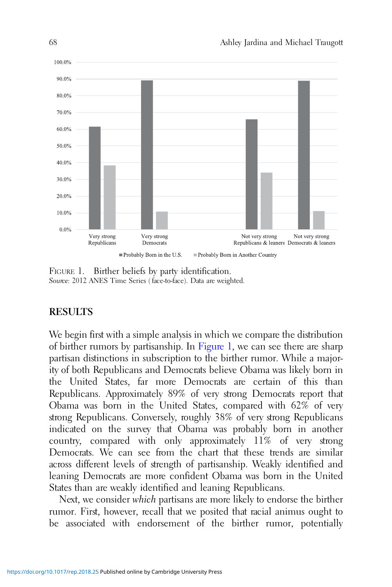

FIGURE 1. Birther beliefs by party identification. Source: 2012 ANES Time Series (face-to-face). Data are weighted.

# RESULTS

We begin first with a simple analysis in which we compare the distribution of birther rumors by partisanship. In Figure 1, we can see there are sharp partisan distinctions in subscription to the birther rumor. While a majority of both Republicans and Democrats believe Obama was likely born in the United States, far more Democrats are certain of this than Republicans. Approximately 89% of very strong Democrats report that Obama was born in the United States, compared with 62% of very strong Republicans. Conversely, roughly 38% of very strong Republicans indicated on the survey that Obama was probably born in another country, compared with only approximately 11% of very strong Democrats. We can see from the chart that these trends are similar across different levels of strength of partisanship. Weakly identified and leaning Democrats are more confident Obama was born in the United States than are weakly identified and leaning Republicans.

Next, we consider which partisans are more likely to endorse the birther rumor. First, however, recall that we posited that racial animus ought to be associated with endorsement of the birther rumor, potentially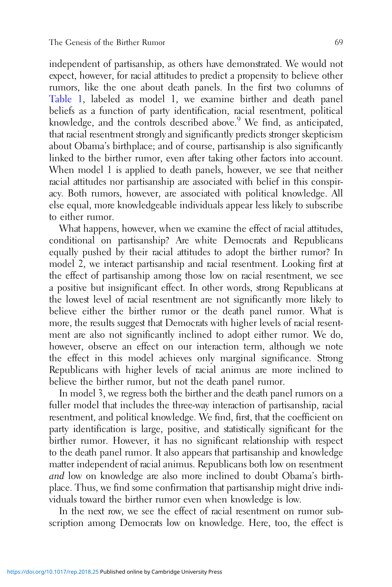independent of partisanship, as others have demonstrated. We would not expect, however, for racial attitudes to predict a propensity to believe other rumors, like the one about death panels. In the first two columns of [Table 1](#page-10-0), labeled as model 1, we examine birther and death panel beliefs as a function of party identification, racial resentment, political knowledge, and the controls described above.<sup>9</sup> We find, as anticipated, that racial resentment strongly and significantly predicts stronger skepticism about Obama's birthplace; and of course, partisanship is also significantly linked to the birther rumor, even after taking other factors into account. When model 1 is applied to death panels, however, we see that neither racial attitudes nor partisanship are associated with belief in this conspiracy. Both rumors, however, are associated with political knowledge. All else equal, more knowledgeable individuals appear less likely to subscribe to either rumor.

What happens, however, when we examine the effect of racial attitudes, conditional on partisanship? Are white Democrats and Republicans equally pushed by their racial attitudes to adopt the birther rumor? In model 2, we interact partisanship and racial resentment. Looking first at the effect of partisanship among those low on racial resentment, we see a positive but insignificant effect. In other words, strong Republicans at the lowest level of racial resentment are not significantly more likely to believe either the birther rumor or the death panel rumor. What is more, the results suggest that Democrats with higher levels of racial resentment are also not significantly inclined to adopt either rumor. We do, however, observe an effect on our interaction term, although we note the effect in this model achieves only marginal significance. Strong Republicans with higher levels of racial animus are more inclined to believe the birther rumor, but not the death panel rumor.

In model 3, we regress both the birther and the death panel rumors on a fuller model that includes the three-way interaction of partisanship, racial resentment, and political knowledge. We find, first, that the coefficient on party identification is large, positive, and statistically significant for the birther rumor. However, it has no significant relationship with respect to the death panel rumor. It also appears that partisanship and knowledge matter independent of racial animus. Republicans both low on resentment and low on knowledge are also more inclined to doubt Obama's birthplace. Thus, we find some confirmation that partisanship might drive individuals toward the birther rumor even when knowledge is low.

In the next row, we see the effect of racial resentment on rumor subscription among Democrats low on knowledge. Here, too, the effect is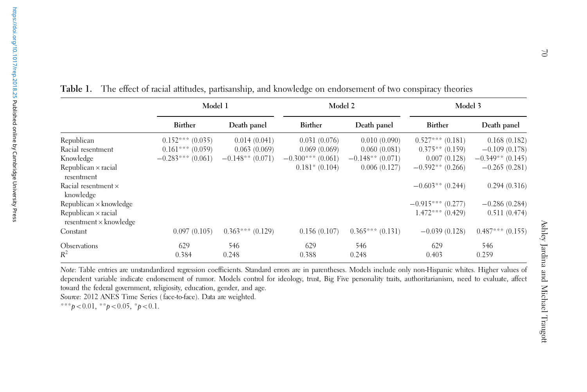<span id="page-10-0"></span>

|                                                             | Model 1            |                    | Model 2            |                    | Model 3            |                    |
|-------------------------------------------------------------|--------------------|--------------------|--------------------|--------------------|--------------------|--------------------|
|                                                             | <b>Birther</b>     | Death panel        | Birther            | Death panel        | Birther            | Death panel        |
| Republican                                                  | $0.152***(0.035)$  | 0.014(0.041)       | 0.031(0.076)       | 0.010(0.090)       | $0.527***(0.181)$  | 0.168(0.182)       |
| Racial resentment                                           | $0.161***(0.059)$  | 0.063(0.069)       | 0.069(0.069)       | 0.060(0.081)       | $0.375**$ (0.159)  | $-0.109(0.178)$    |
| Knowledge                                                   | $-0.283***(0.061)$ | $-0.148**$ (0.071) | $-0.300***(0.061)$ | $-0.148**$ (0.071) | 0.007(0.128)       | $-0.349**$ (0.145) |
| Republican $\times$ racial<br>resentment                    |                    |                    | $0.181*$ (0.104)   | 0.006(0.127)       | $-0.592**$ (0.266) | $-0.265(0.281)$    |
| Racial resentment ×<br>knowledge                            |                    |                    |                    |                    | $-0.603**$ (0.244) | 0.294(0.316)       |
| $Republican \times knowledge$                               |                    |                    |                    |                    | $-0.915***(0.277)$ | $-0.286(0.284)$    |
| Republican $\times$ racial<br>$resentment \times knowledge$ |                    |                    |                    |                    | $1.472***(0.429)$  | 0.511(0.474)       |
| Constant                                                    | 0.097(0.105)       | $0.363***(0.129)$  | 0.156(0.107)       | $0.365***(0.131)$  | $-0.039(0.128)$    | $0.487***(0.155)$  |
| Observations                                                | 629                | 546                | 629                | 546                | 629                | 546                |
| $R^2$                                                       | 0.384              | 0.248              | 0.388              | 0.248              | 0.403              | 0.259              |

n endorsement of two conspiracy theories

Note: Table entries are unstandardized regression coefficients. Standard errors are in parentheses. Models include only non-Hispanic whites. Higher values of dependent variable indicate endorsement of rumor. Models control for ideology, trust, Big Five personality traits, authoritarianism, need to evaluate, affect toward the federal government, religiosity, education, gender, and age. Source: 2012 ANES Time Series ( face-to-face). Data are weighted.

\*\*\* $p < 0.01$ , \*\* $p < 0.05$ , \* $p < 0.1$ .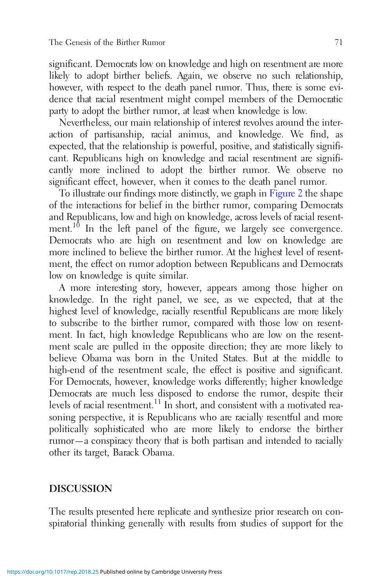significant. Democrats low on knowledge and high on resentment are more likely to adopt birther beliefs. Again, we observe no such relationship, however, with respect to the death panel rumor. Thus, there is some evidence that racial resentment might compel members of the Democratic party to adopt the birther rumor, at least when knowledge is low.

Nevertheless, our main relationship of interest revolves around the interaction of partisanship, racial animus, and knowledge. We find, as expected, that the relationship is powerful, positive, and statistically significant. Republicans high on knowledge and racial resentment are significantly more inclined to adopt the birther rumor. We observe no significant effect, however, when it comes to the death panel rumor.

To illustrate our findings more distinctly, we graph in [Figure 2](#page-12-0) the shape of the interactions for belief in the birther rumor, comparing Democrats and Republicans, low and high on knowledge, across levels of racial resentment.<sup>10</sup> In the left panel of the figure, we largely see convergence. Democrats who are high on resentment and low on knowledge are more inclined to believe the birther rumor. At the highest level of resentment, the effect on rumor adoption between Republicans and Democrats low on knowledge is quite similar.

A more interesting story, however, appears among those higher on knowledge. In the right panel, we see, as we expected, that at the highest level of knowledge, racially resentful Republicans are more likely to subscribe to the birther rumor, compared with those low on resentment. In fact, high knowledge Republicans who are low on the resentment scale are pulled in the opposite direction; they are more likely to believe Obama was born in the United States. But at the middle to high-end of the resentment scale, the effect is positive and significant. For Democrats, however, knowledge works differently; higher knowledge Democrats are much less disposed to endorse the rumor, despite their levels of racial resentment.<sup>11</sup> In short, and consistent with a motivated reasoning perspective, it is Republicans who are racially resentful and more politically sophisticated who are more likely to endorse the birther rumor—a conspiracy theory that is both partisan and intended to racially other its target, Barack Obama.

# DISCUSSION

The results presented here replicate and synthesize prior research on conspiratorial thinking generally with results from studies of support for the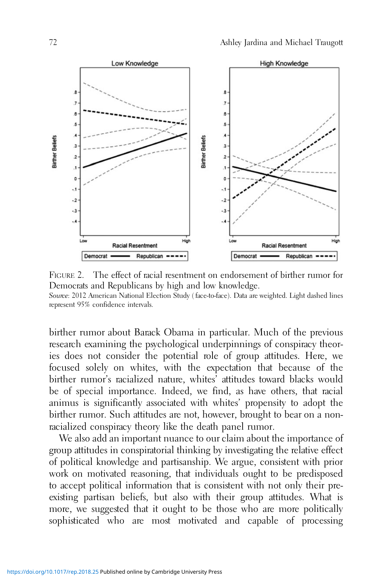<span id="page-12-0"></span>

FIGURE 2. The effect of racial resentment on endorsement of birther rumor for Democrats and Republicans by high and low knowledge. Source: 2012 American National Election Study (face-to-face). Data are weighted. Light dashed lines represent 95% confidence intervals.

birther rumor about Barack Obama in particular. Much of the previous research examining the psychological underpinnings of conspiracy theories does not consider the potential role of group attitudes. Here, we focused solely on whites, with the expectation that because of the birther rumor's racialized nature, whites' attitudes toward blacks would be of special importance. Indeed, we find, as have others, that racial animus is significantly associated with whites' propensity to adopt the birther rumor. Such attitudes are not, however, brought to bear on a nonracialized conspiracy theory like the death panel rumor.

We also add an important nuance to our claim about the importance of group attitudes in conspiratorial thinking by investigating the relative effect of political knowledge and partisanship. We argue, consistent with prior work on motivated reasoning, that individuals ought to be predisposed to accept political information that is consistent with not only their preexisting partisan beliefs, but also with their group attitudes. What is more, we suggested that it ought to be those who are more politically sophisticated who are most motivated and capable of processing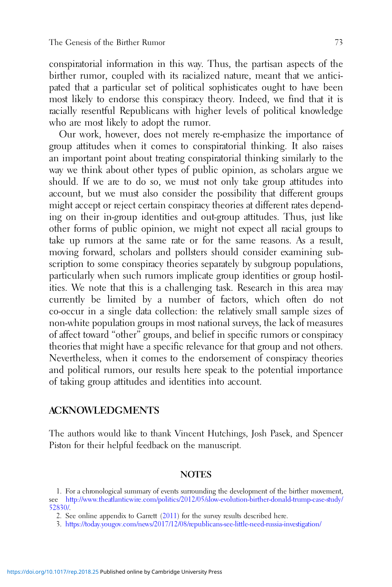conspiratorial information in this way. Thus, the partisan aspects of the birther rumor, coupled with its racialized nature, meant that we anticipated that a particular set of political sophisticates ought to have been most likely to endorse this conspiracy theory. Indeed, we find that it is racially resentful Republicans with higher levels of political knowledge who are most likely to adopt the rumor.

Our work, however, does not merely re-emphasize the importance of group attitudes when it comes to conspiratorial thinking. It also raises an important point about treating conspiratorial thinking similarly to the way we think about other types of public opinion, as scholars argue we should. If we are to do so, we must not only take group attitudes into account, but we must also consider the possibility that different groups might accept or reject certain conspiracy theories at different rates depending on their in-group identities and out-group attitudes. Thus, just like other forms of public opinion, we might not expect all racial groups to take up rumors at the same rate or for the same reasons. As a result, moving forward, scholars and pollsters should consider examining subscription to some conspiracy theories separately by subgroup populations, particularly when such rumors implicate group identities or group hostilities. We note that this is a challenging task. Research in this area may currently be limited by a number of factors, which often do not co-occur in a single data collection: the relatively small sample sizes of non-white population groups in most national surveys, the lack of measures of affect toward "other" groups, and belief in specific rumors or conspiracy theories that might have a specific relevance for that group and not others. Nevertheless, when it comes to the endorsement of conspiracy theories and political rumors, our results here speak to the potential importance of taking group attitudes and identities into account.

## ACKNOWLEDGMENTS

The authors would like to thank Vincent Hutchings, Josh Pasek, and Spencer Piston for their helpful feedback on the manuscript.

### **NOTES**

<sup>1.</sup> For a chronological summary of events surrounding the development of the birther movement, see [http://www.theatlanticwire.com/politics/2012/05/slow-evolution-birther-donald-trump-case-study/](http://www.theatlanticwire.com/politics/2012/05/slow-evolution-birther-donald-trump-case-study/52830/) [52830/](http://www.theatlanticwire.com/politics/2012/05/slow-evolution-birther-donald-trump-case-study/52830/).

<sup>2.</sup> See online appendix to Garrett [\(2011](#page-15-0)) for the survey results described here.

<sup>3.</sup> <https://today.yougov.com/news/2017/12/08/republicans-see-little-need-russia-investigation/>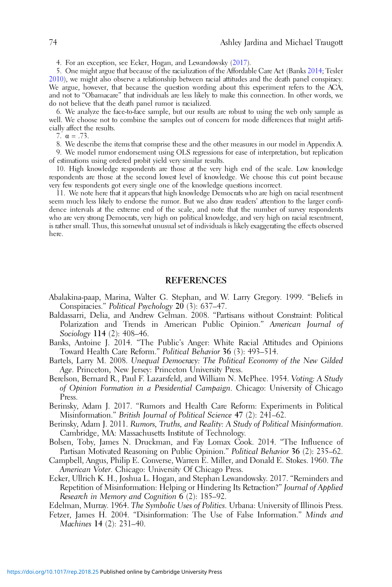<span id="page-14-0"></span>4. For an exception, see Ecker, Hogan, and Lewandowsky (2017).

5. One might argue that because of the racialization of the Affordable Care Act (Banks 2014; Tesler [2010\)](#page-16-0), we might also observe a relationship between racial attitudes and the death panel conspiracy. We argue, however, that because the question wording about this experiment refers to the ACA, and not to "Obamacare" that individuals are less likely to make this connection. In other words, we do not believe that the death panel rumor is racialized.

6. We analyze the face-to-face sample, but our results are robust to using the web only sample as well. We choose not to combine the samples out of concern for mode differences that might artificially affect the results.

7.  $\alpha = .73$ .

8. We describe the items that comprise these and the other measures in our model in Appendix A.

9. We model rumor endorsement using OLS regressions for ease of interpretation, but replication of estimations using ordered probit yield very similar results.

10. High knowledge respondents are those at the very high end of the scale. Low knowledge respondents are those at the second lowest level of knowledge. We choose this cut point because very few respondents got every single one of the knowledge questions incorrect.

11. We note here that it appears that high knowledge Democrats who are high on racial resentment seem much less likely to endorse the rumor. But we also draw readers' attention to the larger confidence intervals at the extreme end of the scale, and note that the number of survey respondents who are very strong Democrats, very high on political knowledge, and very high on racial resentment, is rather small. Thus, this somewhat unusual set of individuals is likely exaggerating the effects observed here.

### REFERENCES

- Abalakina-paap, Marina, Walter G. Stephan, and W. Larry Gregory. 1999. "Beliefs in Conspiracies." Political Psychology 20 (3): 637–47.
- Baldassarri, Delia, and Andrew Gelman. 2008. "Partisans without Constraint: Political Polarization and Trends in American Public Opinion." American Journal of Sociology 114 (2): 408–46.
- Banks, Antoine J. 2014. "The Public's Anger: White Racial Attitudes and Opinions Toward Health Care Reform." Political Behavior 36 (3): 493–514.
- Bartels, Larry M. 2008. Unequal Democracy: The Political Economy of the New Gilded Age. Princeton, New Jersey: Princeton University Press.
- Berelson, Bernard R., Paul F. Lazarsfeld, and William N. McPhee. 1954. Voting: A Study of Opinion Formation in a Presidential Campaign. Chicago: University of Chicago Press.
- Berinsky, Adam J. 2017. "Rumors and Health Care Reform: Experiments in Political Misinformation." British Journal of Political Science 47 (2): 241–62.
- Berinsky, Adam J. 2011. Rumors, Truths, and Reality: A Study of Political Misinformation. Cambridge, MA: Massachusetts Institute of Technology.
- Bolsen, Toby, James N. Druckman, and Fay Lomax Cook. 2014. "The Influence of Partisan Motivated Reasoning on Public Opinion." Political Behavior 36 (2): 235–62.
- Campbell, Angus, Philip E. Converse, Warren E. Miller, and Donald E. Stokes. 1960. The American Voter. Chicago: University Of Chicago Press.
- Ecker, Ullrich K. H., Joshua L. Hogan, and Stephan Lewandowsky. 2017. "Reminders and Repetition of Misinformation: Helping or Hindering Its Retraction?" Journal of Applied Research in Memory and Cognition 6 (2): 185–92.

Edelman, Murray. 1964. The Symbolic Uses of Politics. Urbana: University of Illinois Press.

Fetzer, James H. 2004. "Disinformation: The Use of False Information." Minds and Machines 14 (2): 231–40.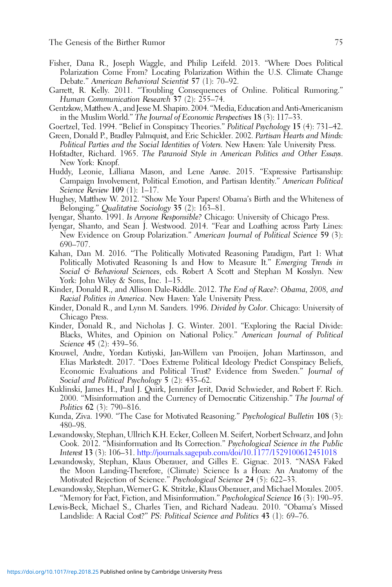- <span id="page-15-0"></span>Fisher, Dana R., Joseph Waggle, and Philip Leifeld. 2013. "Where Does Political Polarization Come From? Locating Polarization Within the U.S. Climate Change Debate." American Behavioral Scientist 57 (1): 70–92.
- Garrett, R. Kelly. 2011. "Troubling Consequences of Online. Political Rumoring." Human Communication Research 37 (2): 255–74.
- Gentzkow,Matthew A., and JesseM. Shapiro. 2004. "Media, Education and Anti-Americanism in the Muslim World." The Journal of Economic Perspectives 18 (3): 117–33.
- Goertzel, Ted. 1994. "Belief in Conspiracy Theories." Political Psychology 15 (4): 731–42.
- Green, Donald P., Bradley Palmquist, and Eric Schickler. 2002. Partisan Hearts and Minds: Political Parties and the Social Identities of Voters. New Haven: Yale University Press.
- Hofstadter, Richard. 1965. The Paranoid Style in American Politics and Other Essays. New York: Knopf.
- Huddy, Leonie, Lilliana Mason, and Lene Aarøe. 2015. "Expressive Partisanship: Campaign Involvement, Political Emotion, and Partisan Identity." American Political Science Review 109 (1): 1–17.
- Hughey, Matthew W. 2012. "Show Me Your Papers! Obama's Birth and the Whiteness of Belonging." Qualitative Sociology 35 (2): 163-81.
- Iyengar, Shanto. 1991. Is Anyone Responsible? Chicago: University of Chicago Press.
- Iyengar, Shanto, and Sean J. Westwood. 2014. "Fear and Loathing across Party Lines: New Evidence on Group Polarization." American Journal of Political Science 59 (3): 690–707.
- Kahan, Dan M. 2016. "The Politically Motivated Reasoning Paradigm, Part 1: What Politically Motivated Reasoning Is and How to Measure It." Emerging Trends in Social & Behavioral Sciences, eds. Robert A Scott and Stephan M Kosslyn. New York: John Wiley & Sons, Inc. 1–15.
- Kinder, Donald R., and Allison Dale-Riddle. 2012. The End of Race?: Obama, 2008, and Racial Politics in America. New Haven: Yale University Press.
- Kinder, Donald R., and Lynn M. Sanders. 1996. Divided by Color. Chicago: University of Chicago Press.
- Kinder, Donald R., and Nicholas J. G. Winter. 2001. "Exploring the Racial Divide: Blacks, Whites, and Opinion on National Policy." American Journal of Political Science 45 (2): 439–56.
- Krouwel, Andre, Yordan Kutiyski, Jan-Willem van Prooijen, Johan Martinsson, and Elias Markstedt. 2017. "Does Extreme Political Ideology Predict Conspiracy Beliefs, Economic Evaluations and Political Trust? Evidence from Sweden." Journal of Social and Political Psychology 5 (2): 435–62.
- Kuklinski, James H., Paul J. Quirk, Jennifer Jerit, David Schwieder, and Robert F. Rich. 2000. "Misinformation and the Currency of Democratic Citizenship." The Journal of Politics 62 (3): 790–816.
- Kunda, Ziva. 1990. "The Case for Motivated Reasoning." Psychological Bulletin 108 (3): 480–98.
- Lewandowsky, Stephan, Ullrich K.H. Ecker, Colleen M. Seifert, Norbert Schwarz, and John Cook. 2012. "Misinformation and Its Correction." Psychological Science in the Public Interest 13 (3): 106–31. <http://journals.sagepub.com/doi/10.1177/1529100612451018>
- Lewandowsky, Stephan, Klaus Oberauer, and Gilles E. Gignac. 2013. "NASA Faked the Moon Landing-Therefore, (Climate) Science Is a Hoax: An Anatomy of the Motivated Rejection of Science." Psychological Science 24 (5): 622–33.
- Lewandowsky, Stephan, Werner G. K. Stritzke, Klaus Oberauer, and Michael Morales. 2005. "Memory for Fact, Fiction, and Misinformation." Psychological Science 16 (3): 190–95.
- Lewis-Beck, Michael S., Charles Tien, and Richard Nadeau. 2010. "Obama's Missed Landslide: A Racial Cost?" PS: Political Science and Politics 43 (1): 69-76.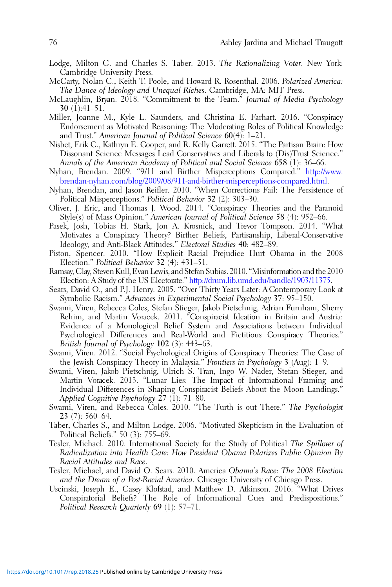- <span id="page-16-0"></span>Lodge, Milton G. and Charles S. Taber. 2013. The Rationalizing Voter. New York: Cambridge University Press.
- McCarty, Nolan C., Keith T. Poole, and Howard R. Rosenthal. 2006. Polarized America: The Dance of Ideology and Unequal Riches. Cambridge, MA: MIT Press.
- McLaughlin, Bryan. 2018. "Commitment to the Team." Journal of Media Psychology 30 (1):41–51.
- Miller, Joanne M., Kyle L. Saunders, and Christina E. Farhart. 2016. "Conspiracy Endorsement as Motivated Reasoning: The Moderating Roles of Political Knowledge and Trust." American Journal of Political Science 60(4): 1–21.
- Nisbet, Erik C., Kathryn E. Cooper, and R. Kelly Garrett. 2015. "The Partisan Brain: How Dissonant Science Messages Lead Conservatives and Liberals to (Dis)Trust Science." Annals of the American Academy of Political and Social Science 658 (1): 36–66.
- Nyhan, Brendan. 2009. "9/11 and Birther Misperceptions Compared." [http://www.](http://www.brendan-nyhan.com/blog/2009/08/911-and-birther-misperceptions-compared.html) [brendan-nyhan.com/blog/2009/08/911-and-birther-misperceptions-compared.html.](http://www.brendan-nyhan.com/blog/2009/08/911-and-birther-misperceptions-compared.html)
- Nyhan, Brendan, and Jason Reifler. 2010. "When Corrections Fail: The Persistence of Political Misperceptions." Political Behavior 32 (2): 303–30.
- Oliver, J. Eric, and Thomas J. Wood. 2014. "Conspiracy Theories and the Paranoid Style(s) of Mass Opinion." American Journal of Political Science 58 (4): 952–66.
- Pasek, Josh, Tobias H. Stark, Jon A. Krosnick, and Trevor Tompson. 2014. "What Motivates a Conspiracy Theory? Birther Beliefs, Partisanship, Liberal-Conservative Ideology, and Anti-Black Attitudes." Electoral Studies 40: 482–89.
- Piston, Spencer. 2010. "How Explicit Racial Prejudice Hurt Obama in the 2008 Election." Political Behavior 32 (4): 431–51.
- Ramsay, Clay, StevenKull, Evan Lewis, and Stefan Subias. 2010. "Misinformation and the 2010 Election: A Study of the US Electorate." <http://drum.lib.umd.edu/handle/1903/11375>.
- Sears, David O., and P.J. Henry. 2005. "Over Thirty Years Later: A Contemporary Look at Symbolic Racism." Advances in Experimental Social Psychology 37: 95–150.
- Swami, Viren, Rebecca Coles, Stefan Stieger, Jakob Pietschnig, Adrian Furnham, Sherry Rehim, and Martin Voracek. 2011. "Conspiracist Ideation in Britain and Austria: Evidence of a Monological Belief System and Associations between Individual Psychological Differences and Real-World and Fictitious Conspiracy Theories." British Journal of Psychology 102 (3): 443–63.
- Swami, Viren. 2012. "Social Psychological Origins of Conspiracy Theories: The Case of the Jewish Conspiracy Theory in Malaysia." Frontiers in Psychology 3 (Aug): 1–9.
- Swami, Viren, Jakob Pietschnig, Ulrich S. Tran, Ingo W. Nader, Stefan Stieger, and Martin Voracek. 2013. "Lunar Lies: The Impact of Informational Framing and Individual Differences in Shaping Conspiracist Beliefs About the Moon Landings." Applied Cognitive Psychology 27 (1): 71–80.
- Swami, Viren, and Rebecca Coles. 2010. "The Turth is out There." The Psychologist 23 (7): 560–64.
- Taber, Charles S., and Milton Lodge. 2006. "Motivated Skepticism in the Evaluation of Political Beliefs." 50 (3): 755–69.
- Tesler, Michael. 2010. International Society for the Study of Political The Spillover of Radicalization into Health Care: How President Obama Polarizes Public Opinion By Racial Attitudes and Race.
- Tesler, Michael, and David O. Sears. 2010. America Obama's Race: The 2008 Election and the Dream of a Post-Racial America. Chicago: University of Chicago Press.
- Uscinski, Joseph E., Casey Klofstad, and Matthew D. Atkinson. 2016. "What Drives Conspiratorial Beliefs? The Role of Informational Cues and Predispositions." Political Research Quarterly 69 (1): 57–71.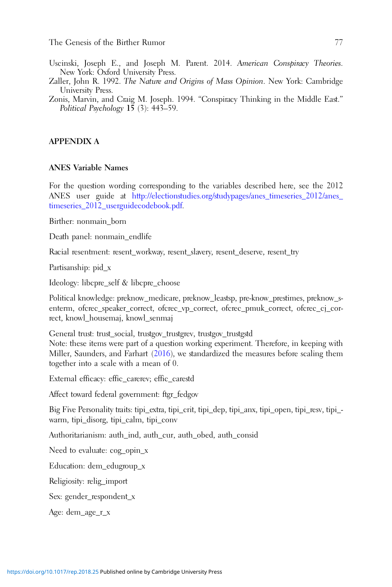- <span id="page-17-0"></span>Uscinski, Joseph E., and Joseph M. Parent. 2014. American Conspiracy Theories. New York: Oxford University Press.
- Zaller, John R. 1992. The Nature and Origins of Mass Opinion. New York: Cambridge University Press.
- Zonis, Marvin, and Craig M. Joseph. 1994. "Conspiracy Thinking in the Middle East." Political Psychology  $1\bar{5}$  (3): 443–59.

#### APPENDIX A

#### ANES Variable Names

For the question wording corresponding to the variables described here, see the 2012 ANES user guide at [http://electionstudies.org/studypages/anes\\_timeseries\\_2012/anes\\_](http://electionstudies.org/studypages/anes_timeseries_2012/anes_timeseries_2012_) [timeseries\\_2012\\_userguidecodebook.pdf.](http://electionstudies.org/studypages/anes_timeseries_2012/anes_timeseries_2012_)

Birther: nonmain\_born

Death panel: nonmain\_endlife

Racial resentment: resent\_workway, resent\_slavery, resent\_deserve, resent\_try

Partisanship: pid\_x

Ideology: libcpre\_self & libcpre\_choose

Political knowledge: preknow\_medicare, preknow\_leastsp, pre-know\_prestimes, preknow\_senterm, ofcrec\_speaker\_correct, ofcrec\_vp\_correct, ofcrec\_pmuk\_correct, ofcrec\_cj\_correct, knowl\_housemaj, knowl\_senmaj

General trust: trust\_social, trustgov\_trustgrev, trustgov\_trustgstd

Note: these items were part of a question working experiment. Therefore, in keeping with Miller, Saunders, and Farhart ([2016\)](#page-16-0), we standardized the measures before scaling them together into a scale with a mean of 0.

External efficacy: effic\_carerev; effic\_carestd

Affect toward federal government: ftgr\_fedgov

Big Five Personality traits: tipi\_extra, tipi\_crit, tipi\_dep, tipi\_anx, tipi\_open, tipi\_resv, tipi\_ warm, tipi\_disorg, tipi\_calm, tipi\_conv

Authoritarianism: auth\_ind, auth\_cur, auth\_obed, auth\_consid

Need to evaluate: cog\_opin\_x

Education: dem\_edugroup\_x

Religiosity: relig\_import

Sex: gender\_respondent\_x

Age: dem\_age\_r\_x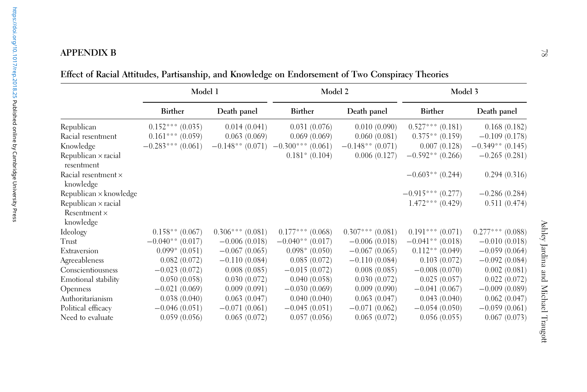|                                   | Model 1             |                   | Model 2                                 |                    | Model 3              |                    |
|-----------------------------------|---------------------|-------------------|-----------------------------------------|--------------------|----------------------|--------------------|
|                                   | <b>Birther</b>      | Death panel       | Birther                                 | Death panel        | <b>Birther</b>       | Death panel        |
| Republican                        | $0.152***(0.035)$   | 0.014(0.041)      | 0.031(0.076)                            | 0.010(0.090)       | $0.527***$ $(0.181)$ | 0.168(0.182)       |
| Racial resentment                 | $0.161***(0.059)$   | 0.063(0.069)      | 0.069(0.069)                            | 0.060(0.081)       | $0.375**$ (0.159)    | $-0.109(0.178)$    |
| Knowledge                         | $-0.283***$ (0.061) |                   | $-0.148***$ (0.071) $-0.300***$ (0.061) | $-0.148**$ (0.071) | 0.007(0.128)         | $-0.349**$ (0.145) |
| Republican × racial<br>resentment |                     |                   | $0.181*$ (0.104)                        | 0.006(0.127)       | $-0.592**$ (0.266)   | $-0.265(0.281)$    |
| Racial resentment ×<br>knowledge  |                     |                   |                                         |                    | $-0.603**$ (0.244)   | 0.294(0.316)       |
| Republican × knowledge            |                     |                   |                                         |                    | $-0.915***(0.277)$   | $-0.286(0.284)$    |
| Republican × racial               |                     |                   |                                         |                    | $1.472***(0.429)$    | 0.511(0.474)       |
| $Resentment \times$               |                     |                   |                                         |                    |                      |                    |
| knowledge                         |                     |                   |                                         |                    |                      |                    |
| Ideology                          | $0.158**$ (0.067)   | $0.306***(0.081)$ | $0.177***$ (0.068)                      | $0.307***(0.081)$  | $0.191***$ $(0.071)$ | $0.277***$ (0.088) |
| Trust                             | $-0.040**$ (0.017)  | $-0.006(0.018)$   | $-0.040**$ (0.017)                      | $-0.006(0.018)$    | $-0.041**$ (0.018)   | $-0.010(0.018)$    |
| Extraversion                      | $0.099*$ (0.051)    | $-0.067(0.065)$   | $0.098*(0.050)$                         | $-0.067(0.065)$    | $0.112**$ (0.049)    | $-0.059(0.064)$    |
| Agreeableness                     | 0.082(0.072)        | $-0.110(0.084)$   | 0.085(0.072)                            | $-0.110(0.084)$    | 0.103(0.072)         | $-0.092(0.084)$    |
| Conscientiousness                 | $-0.023(0.072)$     | 0.008(0.085)      | $-0.015(0.072)$                         | 0.008(0.085)       | $-0.008(0.070)$      | 0.002(0.081)       |
| Emotional stability               | 0.050(0.058)        | 0.030(0.072)      | 0.040(0.058)                            | 0.030(0.072)       | 0.025(0.057)         | 0.022(0.072)       |
| Openness                          | $-0.021(0.069)$     | 0.009(0.091)      | $-0.030(0.069)$                         | 0.009(0.090)       | $-0.041(0.067)$      | $-0.009(0.089)$    |
| Authoritarianism                  | 0.038(0.040)        | 0.063(0.047)      | 0.040(0.040)                            | 0.063(0.047)       | 0.043(0.040)         | 0.062(0.047)       |
| Political efficacy                | $-0.046(0.051)$     | $-0.071(0.061)$   | $-0.045(0.051)$                         | $-0.071(0.062)$    | $-0.054(0.050)$      | $-0.059(0.061)$    |
| Need to evaluate                  | 0.059(0.056)        | 0.065(0.072)      | 0.057(0.056)                            | 0.065(0.072)       | 0.056(0.055)         | 0.067(0.073)       |

Effect of Racial Attitudes, Partisanship, and Knowledge on Endorsement of Two Conspiracy Theories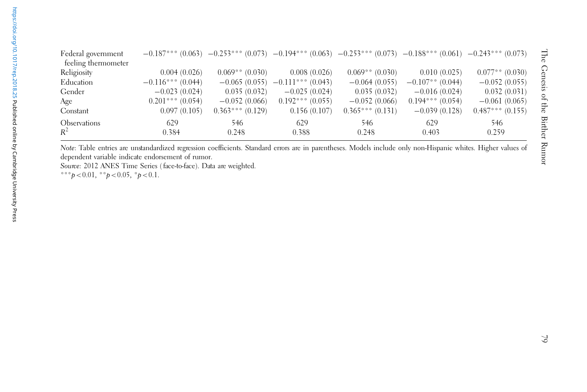| Federal government<br>feeling thermometer |                    |                   | $-0.187***$ (0.063) $-0.253***$ (0.073) $-0.194***$ (0.063) $-0.253***$ (0.073) $-0.188***$ (0.061) $-0.243***$ (0.073) |                   |                    |                   |
|-------------------------------------------|--------------------|-------------------|-------------------------------------------------------------------------------------------------------------------------|-------------------|--------------------|-------------------|
| Religiosity                               | 0.004(0.026)       | $0.069**$ (0.030) | 0.008(0.026)                                                                                                            | $0.069**$ (0.030) | 0.010(0.025)       | $0.077**$ (0.030) |
| Education                                 | $-0.116***(0.044)$ |                   | $-0.065(0.055)$ $-0.111***(0.043)$                                                                                      | $-0.064(0.055)$   | $-0.107**$ (0.044) | $-0.052(0.055)$   |
| Gender                                    | $-0.023(0.024)$    | 0.035(0.032)      | $-0.025(0.024)$                                                                                                         | 0.035(0.032)      | $-0.016(0.024)$    | 0.032(0.031)      |
| Age                                       | $0.201***(0.054)$  | $-0.052(0.066)$   | $0.192***(0.055)$                                                                                                       | $-0.052(0.066)$   | $0.194***(0.054)$  | $-0.061(0.065)$   |
| Constant                                  | 0.097(0.105)       | $0.363***(0.129)$ | 0.156(0.107)                                                                                                            | $0.365***(0.131)$ | $-0.039(0.128)$    | $0.487***(0.155)$ |
| <b>Observations</b><br>$R^2$              | 629<br>0.384       | 546<br>0.248      | 629<br>0.388                                                                                                            | 546<br>0.248      | 629<br>0.403       | 546.<br>0.259     |

Note: Table entries are unstandardized regression coefficients. Standard errors are in parentheses. Models include only non-Hispanic whites. Higher values of dependent variable indicate endorsement of rumor.

Source: 2012 ANES Time Series (face-to-face). Data are weighted.

\*\*\* $p < 0.01$ , \*\* $p < 0.05$ , \* $p < 0.1$ .

The Genesis of the Birther Rumor